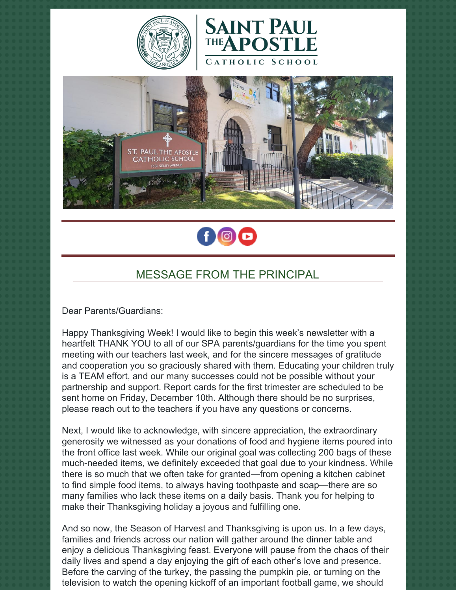







## MESSAGE FROM THE PRINCIPAL

Dear Parents/Guardians:

Happy Thanksgiving Week! I would like to begin this week's newsletter with a heartfelt THANK YOU to all of our SPA parents/guardians for the time you spent meeting with our teachers last week, and for the sincere messages of gratitude and cooperation you so graciously shared with them. Educating your children truly is a TEAM effort, and our many successes could not be possible without your partnership and support. Report cards for the first trimester are scheduled to be sent home on Friday, December 10th. Although there should be no surprises, please reach out to the teachers if you have any questions or concerns.

Next, I would like to acknowledge, with sincere appreciation, the extraordinary generosity we witnessed as your donations of food and hygiene items poured into the front office last week. While our original goal was collecting 200 bags of these much-needed items, we definitely exceeded that goal due to your kindness. While there is so much that we often take for granted—from opening a kitchen cabinet to find simple food items, to always having toothpaste and soap—there are so many families who lack these items on a daily basis. Thank you for helping to make their Thanksgiving holiday a joyous and fulfilling one.

And so now, the Season of Harvest and Thanksgiving is upon us. In a few days, families and friends across our nation will gather around the dinner table and enjoy a delicious Thanksgiving feast. Everyone will pause from the chaos of their daily lives and spend a day enjoying the gift of each other's love and presence. Before the carving of the turkey, the passing the pumpkin pie, or turning on the television to watch the opening kickoff of an important football game, we should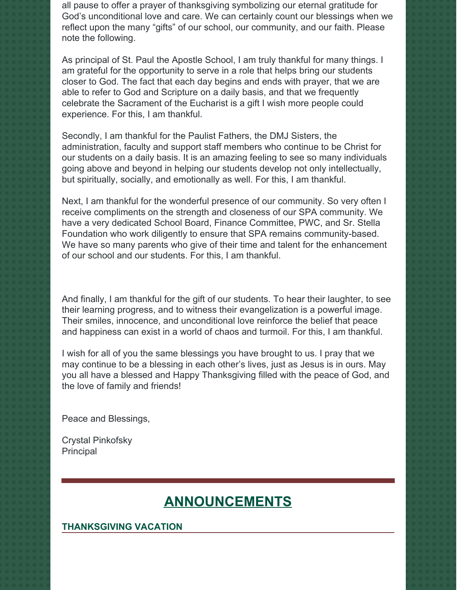all pause to offer a prayer of thanksgiving symbolizing our eternal gratitude for God's unconditional love and care. We can certainly count our blessings when we reflect upon the many "gifts" of our school, our community, and our faith. Please note the following.

As principal of St. Paul the Apostle School, I am truly thankful for many things. I am grateful for the opportunity to serve in a role that helps bring our students closer to God. The fact that each day begins and ends with prayer, that we are able to refer to God and Scripture on a daily basis, and that we frequently celebrate the Sacrament of the Eucharist is a gift I wish more people could experience. For this, I am thankful.

Secondly, I am thankful for the Paulist Fathers, the DMJ Sisters, the administration, faculty and support staff members who continue to be Christ for our students on a daily basis. It is an amazing feeling to see so many individuals going above and beyond in helping our students develop not only intellectually, but spiritually, socially, and emotionally as well. For this, I am thankful.

Next, I am thankful for the wonderful presence of our community. So very often I receive compliments on the strength and closeness of our SPA community. We have a very dedicated School Board, Finance Committee, PWC, and Sr. Stella Foundation who work diligently to ensure that SPA remains community-based. We have so many parents who give of their time and talent for the enhancement of our school and our students. For this, I am thankful.

And finally, I am thankful for the gift of our students. To hear their laughter, to see their learning progress, and to witness their evangelization is a powerful image. Their smiles, innocence, and unconditional love reinforce the belief that peace and happiness can exist in a world of chaos and turmoil. For this, I am thankful.

I wish for all of you the same blessings you have brought to us. I pray that we may continue to be a blessing in each other's lives, just as Jesus is in ours. May you all have a blessed and Happy Thanksgiving filled with the peace of God, and the love of family and friends!

Peace and Blessings,

Crystal Pinkofsky **Principal** 

# **ANNOUNCEMENTS**

#### **THANKSGIVING VACATION**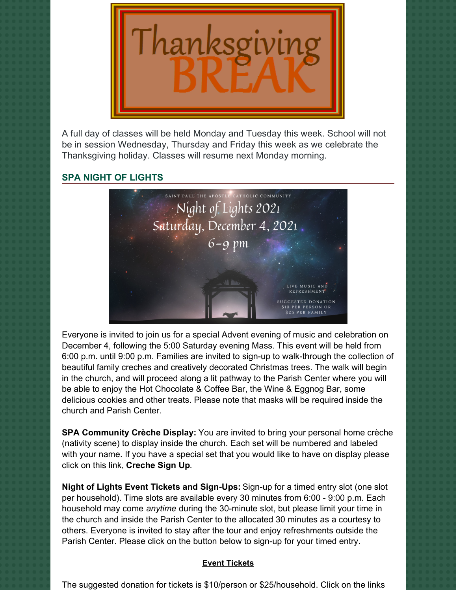

A full day of classes will be held Monday and Tuesday this week. School will not be in session Wednesday, Thursday and Friday this week as we celebrate the Thanksgiving holiday. Classes will resume next Monday morning.

## **SPA NIGHT OF LIGHTS**



Everyone is invited to join us for a special Advent evening of music and celebration on December 4, following the 5:00 Saturday evening Mass. This event will be held from 6:00 p.m. until 9:00 p.m. Families are invited to sign-up to walk-through the collection of beautiful family creches and creatively decorated Christmas trees. The walk will begin in the church, and will proceed along a lit pathway to the Parish Center where you will be able to enjoy the Hot Chocolate & Coffee Bar, the Wine & Eggnog Bar, some delicious cookies and other treats. Please note that masks will be required inside the church and Parish Center.

**SPA Community Crèche Display:** You are invited to bring your personal home crèche (nativity scene) to display inside the church. Each set will be numbered and labeled with your name. If you have a special set that you would like to have on display please click on this link, **[Creche](https://r20.rs6.net/tn.jsp?f=001bpQnVBmfFLWzJDL99dbsQ1tyMHozCf9l-lZEy6HF8KYOsDeJjL23Y27v5QMZ6XkGXRGyOiHat2FyTanbAyhNPghO5O5hVQBn8cG8v8V5gEBRqtGnTtG6N2QwF1-4yY98XKLvmGBCHES4f4rHY9343tCbf07X8YjwPXEhR0fR7Afc6IMU52-ozW6soCxhyPIqxkEEY2u6cleOA19Er46lt6yJw-sZuNQHPqqrJyll2Wu39Gwu2glWu-MJ2K8C4l7yhb8owYXBW8UnL37cWev1iqpUE4T6OnSF&c=ZVnHewhkeBj_fjz2ieInVPHgsycds2hR4w5gj1Ux315y6Y34OSeuwg==&ch=Qv60jGo1EQ-YsKF3kKoSzBs9uf1cKKUxjqjsqRAcPIZ0UfKA3WIH2Q==) Sign Up**.

**Night of Lights Event Tickets and Sign-Ups:** Sign-up for a timed entry slot (one slot per household). Time slots are available every 30 minutes from 6:00 - 9:00 p.m. Each household may come *anytime* during the 30-minute slot, but please limit your time in the church and inside the Parish Center to the allocated 30 minutes as a courtesy to others. Everyone is invited to stay after the tour and enjoy refreshments outside the Parish Center. Please click on the button below to sign-up for your timed entry.

### **Event [Tickets](https://r20.rs6.net/tn.jsp?f=001aNtUMhxZpFzNsYQPlVbrkaZPaWCs6ZLU_sG80dwGF-bHKWQZqUwoA5lJflziRzT1RytxNDZJWUNbISV2e_SDmZjgXVp81MvK2kZBgsJfW6PbURrn1ahvnlk2O-zhxalv7cniJxkA2mypPf85tmcmqD92qLYfY1GjIjyaB_aI3jhlJgze9CAChE2Phkrq_OfjSSMhq73BH-a5-5aXGy8DKg==&c=Jq3J6IYW9Y4RqCZedQG7n3Wj95OfiAvScJgQZvXkBYOwTwN95uof6Q==&ch=4stAJ8poqI4abPts-hIQ5-dqNbNZv0HUNo1rHX0MJXAmT9L6jpnQfg==)**

The suggested donation for tickets is \$10/person or \$25/household. Click on the links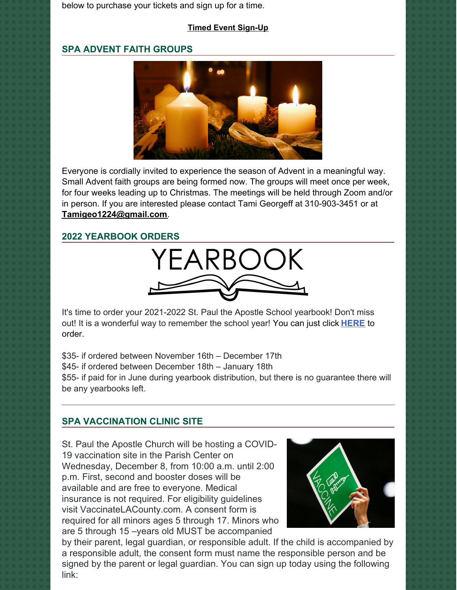below to purchase your tickets and sign up for a time.

## **Timed Event [Sign-Up](https://r20.rs6.net/tn.jsp?f=001aNtUMhxZpFzNsYQPlVbrkaZPaWCs6ZLU_sG80dwGF-bHKWQZqUwoA5lJflziRzT1sRf1aKnwifuZzzz9se-eDnTkBmOI-IQxcvgMMgoBcWKqLmJQ1No1iiOAhHTOusH4TdcXQXmyFkuL0D59C3jL4jNNw3MlaJgPFYaZ8kvy5acVNkOYOQBlxh-hvVeAZmOt&c=Jq3J6IYW9Y4RqCZedQG7n3Wj95OfiAvScJgQZvXkBYOwTwN95uof6Q==&ch=4stAJ8poqI4abPts-hIQ5-dqNbNZv0HUNo1rHX0MJXAmT9L6jpnQfg==)**

## **SPA ADVENT FAITH GROUPS**



Everyone is cordially invited to experience the season of Advent in a meaningful way. Small Advent faith groups are being formed now. The groups will meet once per week, for four weeks leading up to Christmas. The meetings will be held through Zoom and/or in person. If you are interested please contact Tami Georgeff at 310-903-3451 or at **[Tamigeo1224@gmail.com](mailto:Tamigeo1224@gmail.com)**.

## **2022 YEARBOOK ORDERS**



It's time to order your 2021-2022 St. Paul the Apostle School yearbook! Don't miss out! It is a wonderful way to remember the school year! You can just click **[HERE](https://www.prestoregister.com/cgi-bin/order.pl?ref=spapostle_school&fm=3)** to order.

\$35- if ordered between November 16th – December 17th \$45- if ordered between December 18th – January 18th \$55- if paid for in June during yearbook distribution, but there is no guarantee there will be any yearbooks left.

## **SPA VACCINATION CLINIC SITE**

St. Paul the Apostle Church will be hosting a COVID-19 vaccination site in the Parish Center on Wednesday, December 8, from 10:00 a.m. until 2:00 p.m. First, second and booster doses will be available and are free to everyone. Medical insurance is not required. For eligibility guidelines visit VaccinateLACounty.com. A consent form is required for all minors ages 5 through 17. Minors who are 5 through 15 –years old MUST be accompanied



by their parent, legal guardian, or responsible adult. If the child is accompanied by a responsible adult, the consent form must name the responsible person and be signed by the parent or legal guardian. You can sign up today using the following link: